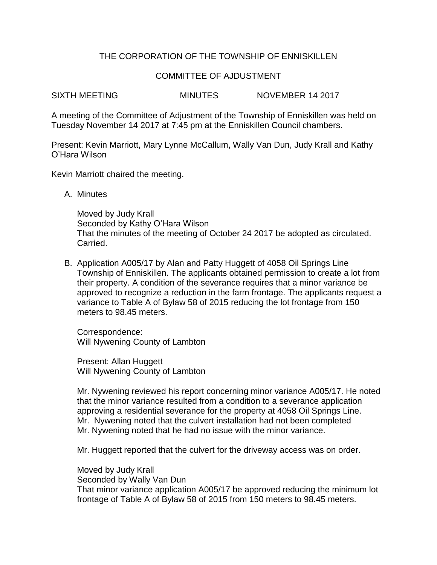## THE CORPORATION OF THE TOWNSHIP OF ENNISKILLEN

## COMMITTEE OF AJDUSTMENT

SIXTH MEETING MINUTES NOVEMBER 14 2017

A meeting of the Committee of Adjustment of the Township of Enniskillen was held on Tuesday November 14 2017 at 7:45 pm at the Enniskillen Council chambers.

Present: Kevin Marriott, Mary Lynne McCallum, Wally Van Dun, Judy Krall and Kathy O'Hara Wilson

Kevin Marriott chaired the meeting.

A. Minutes

Moved by Judy Krall Seconded by Kathy O'Hara Wilson That the minutes of the meeting of October 24 2017 be adopted as circulated. Carried.

B. Application A005/17 by Alan and Patty Huggett of 4058 Oil Springs Line Township of Enniskillen. The applicants obtained permission to create a lot from their property. A condition of the severance requires that a minor variance be approved to recognize a reduction in the farm frontage. The applicants request a variance to Table A of Bylaw 58 of 2015 reducing the lot frontage from 150 meters to 98.45 meters.

Correspondence: Will Nywening County of Lambton

Present: Allan Huggett Will Nywening County of Lambton

Mr. Nywening reviewed his report concerning minor variance A005/17. He noted that the minor variance resulted from a condition to a severance application approving a residential severance for the property at 4058 Oil Springs Line. Mr. Nywening noted that the culvert installation had not been completed Mr. Nywening noted that he had no issue with the minor variance.

Mr. Huggett reported that the culvert for the driveway access was on order.

Moved by Judy Krall Seconded by Wally Van Dun That minor variance application A005/17 be approved reducing the minimum lot frontage of Table A of Bylaw 58 of 2015 from 150 meters to 98.45 meters.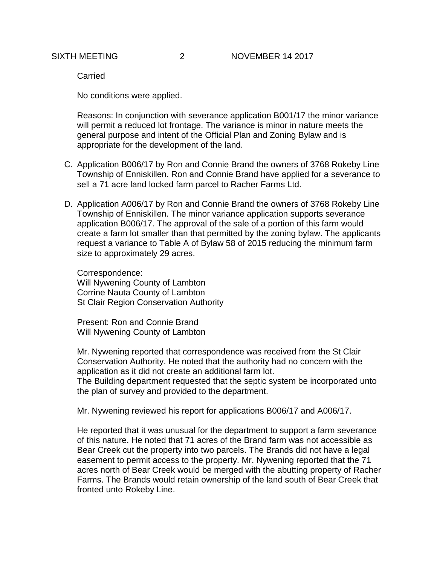Carried

No conditions were applied.

Reasons: In conjunction with severance application B001/17 the minor variance will permit a reduced lot frontage. The variance is minor in nature meets the general purpose and intent of the Official Plan and Zoning Bylaw and is appropriate for the development of the land.

- C. Application B006/17 by Ron and Connie Brand the owners of 3768 Rokeby Line Township of Enniskillen. Ron and Connie Brand have applied for a severance to sell a 71 acre land locked farm parcel to Racher Farms Ltd.
- D. Application A006/17 by Ron and Connie Brand the owners of 3768 Rokeby Line Township of Enniskillen. The minor variance application supports severance application B006/17. The approval of the sale of a portion of this farm would create a farm lot smaller than that permitted by the zoning bylaw. The applicants request a variance to Table A of Bylaw 58 of 2015 reducing the minimum farm size to approximately 29 acres.

Correspondence: Will Nywening County of Lambton Corrine Nauta County of Lambton St Clair Region Conservation Authority

Present: Ron and Connie Brand Will Nywening County of Lambton

Mr. Nywening reported that correspondence was received from the St Clair Conservation Authority. He noted that the authority had no concern with the application as it did not create an additional farm lot.

The Building department requested that the septic system be incorporated unto the plan of survey and provided to the department.

Mr. Nywening reviewed his report for applications B006/17 and A006/17.

He reported that it was unusual for the department to support a farm severance of this nature. He noted that 71 acres of the Brand farm was not accessible as Bear Creek cut the property into two parcels. The Brands did not have a legal easement to permit access to the property. Mr. Nywening reported that the 71 acres north of Bear Creek would be merged with the abutting property of Racher Farms. The Brands would retain ownership of the land south of Bear Creek that fronted unto Rokeby Line.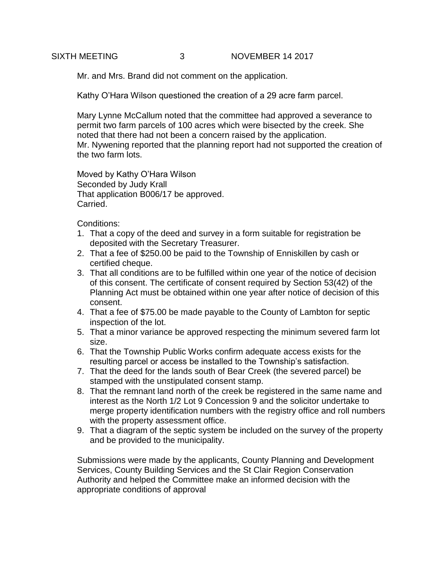Mr. and Mrs. Brand did not comment on the application.

Kathy O'Hara Wilson questioned the creation of a 29 acre farm parcel.

Mary Lynne McCallum noted that the committee had approved a severance to permit two farm parcels of 100 acres which were bisected by the creek. She noted that there had not been a concern raised by the application. Mr. Nywening reported that the planning report had not supported the creation of the two farm lots.

Moved by Kathy O'Hara Wilson Seconded by Judy Krall That application B006/17 be approved. Carried.

Conditions:

- 1. That a copy of the deed and survey in a form suitable for registration be deposited with the Secretary Treasurer.
- 2. That a fee of \$250.00 be paid to the Township of Enniskillen by cash or certified cheque.
- 3. That all conditions are to be fulfilled within one year of the notice of decision of this consent. The certificate of consent required by Section 53(42) of the Planning Act must be obtained within one year after notice of decision of this consent.
- 4. That a fee of \$75.00 be made payable to the County of Lambton for septic inspection of the lot.
- 5. That a minor variance be approved respecting the minimum severed farm lot size.
- 6. That the Township Public Works confirm adequate access exists for the resulting parcel or access be installed to the Township's satisfaction.
- 7. That the deed for the lands south of Bear Creek (the severed parcel) be stamped with the unstipulated consent stamp.
- 8. That the remnant land north of the creek be registered in the same name and interest as the North 1/2 Lot 9 Concession 9 and the solicitor undertake to merge property identification numbers with the registry office and roll numbers with the property assessment office.
- 9. That a diagram of the septic system be included on the survey of the property and be provided to the municipality.

Submissions were made by the applicants, County Planning and Development Services, County Building Services and the St Clair Region Conservation Authority and helped the Committee make an informed decision with the appropriate conditions of approval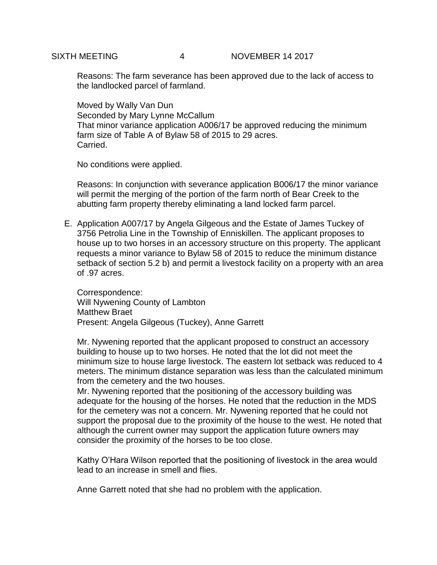Reasons: The farm severance has been approved due to the lack of access to the landlocked parcel of farmland.

Moved by Wally Van Dun Seconded by Mary Lynne McCallum That minor variance application A006/17 be approved reducing the minimum farm size of Table A of Bylaw 58 of 2015 to 29 acres. Carried.

No conditions were applied.

Reasons: In conjunction with severance application B006/17 the minor variance will permit the merging of the portion of the farm north of Bear Creek to the abutting farm property thereby eliminating a land locked farm parcel.

E. Application A007/17 by Angela Gilgeous and the Estate of James Tuckey of 3756 Petrolia Line in the Township of Enniskillen. The applicant proposes to house up to two horses in an accessory structure on this property. The applicant requests a minor variance to Bylaw 58 of 2015 to reduce the minimum distance setback of section 5.2 b) and permit a livestock facility on a property with an area of .97 acres.

Correspondence: Will Nywening County of Lambton Matthew Braet Present: Angela Gilgeous (Tuckey), Anne Garrett

Mr. Nywening reported that the applicant proposed to construct an accessory building to house up to two horses. He noted that the lot did not meet the minimum size to house large livestock. The eastern lot setback was reduced to 4 meters. The minimum distance separation was less than the calculated minimum from the cemetery and the two houses.

Mr. Nywening reported that the positioning of the accessory building was adequate for the housing of the horses. He noted that the reduction in the MDS for the cemetery was not a concern. Mr. Nywening reported that he could not support the proposal due to the proximity of the house to the west. He noted that although the current owner may support the application future owners may consider the proximity of the horses to be too close.

Kathy O'Hara Wilson reported that the positioning of livestock in the area would lead to an increase in smell and flies.

Anne Garrett noted that she had no problem with the application.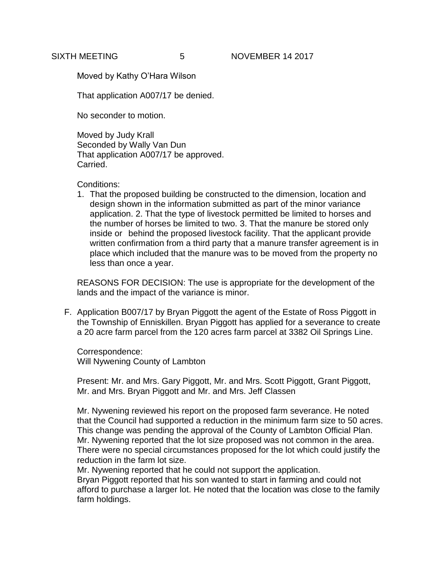Moved by Kathy O'Hara Wilson

That application A007/17 be denied.

No seconder to motion.

Moved by Judy Krall Seconded by Wally Van Dun That application A007/17 be approved. Carried.

Conditions:

1. That the proposed building be constructed to the dimension, location and design shown in the information submitted as part of the minor variance application. 2. That the type of livestock permitted be limited to horses and the number of horses be limited to two. 3. That the manure be stored only inside or behind the proposed livestock facility. That the applicant provide written confirmation from a third party that a manure transfer agreement is in place which included that the manure was to be moved from the property no less than once a year.

REASONS FOR DECISION: The use is appropriate for the development of the lands and the impact of the variance is minor.

F. Application B007/17 by Bryan Piggott the agent of the Estate of Ross Piggott in the Township of Enniskillen. Bryan Piggott has applied for a severance to create a 20 acre farm parcel from the 120 acres farm parcel at 3382 Oil Springs Line.

Correspondence: Will Nywening County of Lambton

Present: Mr. and Mrs. Gary Piggott, Mr. and Mrs. Scott Piggott, Grant Piggott, Mr. and Mrs. Bryan Piggott and Mr. and Mrs. Jeff Classen

Mr. Nywening reviewed his report on the proposed farm severance. He noted that the Council had supported a reduction in the minimum farm size to 50 acres. This change was pending the approval of the County of Lambton Official Plan. Mr. Nywening reported that the lot size proposed was not common in the area. There were no special circumstances proposed for the lot which could justify the reduction in the farm lot size.

Mr. Nywening reported that he could not support the application. Bryan Piggott reported that his son wanted to start in farming and could not afford to purchase a larger lot. He noted that the location was close to the family farm holdings.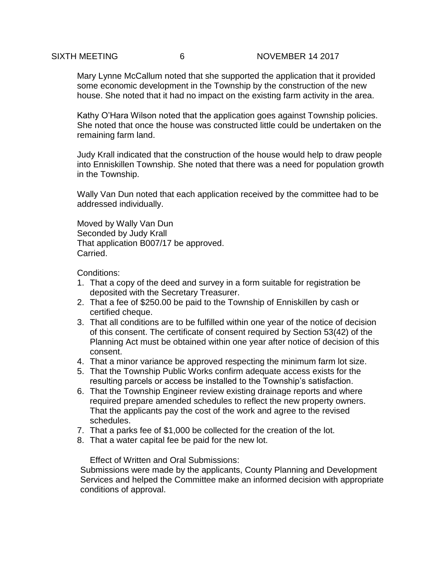Mary Lynne McCallum noted that she supported the application that it provided some economic development in the Township by the construction of the new house. She noted that it had no impact on the existing farm activity in the area.

Kathy O'Hara Wilson noted that the application goes against Township policies. She noted that once the house was constructed little could be undertaken on the remaining farm land.

Judy Krall indicated that the construction of the house would help to draw people into Enniskillen Township. She noted that there was a need for population growth in the Township.

Wally Van Dun noted that each application received by the committee had to be addressed individually.

Moved by Wally Van Dun Seconded by Judy Krall That application B007/17 be approved. Carried.

Conditions:

- 1. That a copy of the deed and survey in a form suitable for registration be deposited with the Secretary Treasurer.
- 2. That a fee of \$250.00 be paid to the Township of Enniskillen by cash or certified cheque.
- 3. That all conditions are to be fulfilled within one year of the notice of decision of this consent. The certificate of consent required by Section 53(42) of the Planning Act must be obtained within one year after notice of decision of this consent.
- 4. That a minor variance be approved respecting the minimum farm lot size.
- 5. That the Township Public Works confirm adequate access exists for the resulting parcels or access be installed to the Township's satisfaction.
- 6. That the Township Engineer review existing drainage reports and where required prepare amended schedules to reflect the new property owners. That the applicants pay the cost of the work and agree to the revised schedules.
- 7. That a parks fee of \$1,000 be collected for the creation of the lot.
- 8. That a water capital fee be paid for the new lot.

Effect of Written and Oral Submissions:

Submissions were made by the applicants, County Planning and Development Services and helped the Committee make an informed decision with appropriate conditions of approval.